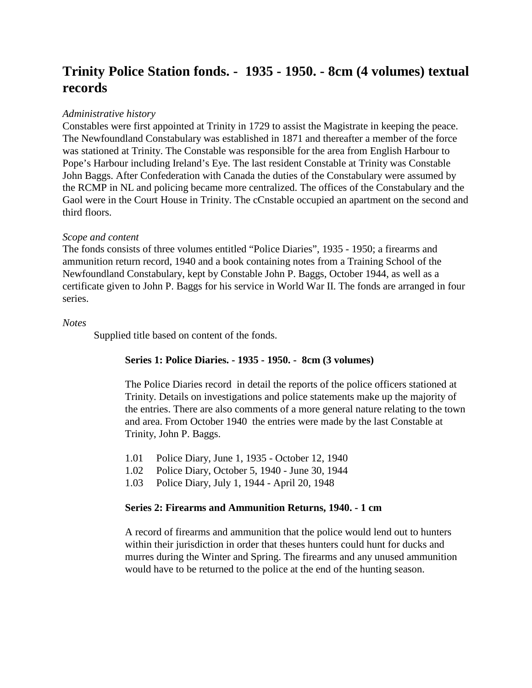# **Trinity Police Station fonds. - 1935 - 1950. - 8cm (4 volumes) textual records**

## *Administrative history*

Constables were first appointed at Trinity in 1729 to assist the Magistrate in keeping the peace. The Newfoundland Constabulary was established in 1871 and thereafter a member of the force was stationed at Trinity. The Constable was responsible for the area from English Harbour to Pope's Harbour including Ireland's Eye. The last resident Constable at Trinity was Constable John Baggs. After Confederation with Canada the duties of the Constabulary were assumed by the RCMP in NL and policing became more centralized. The offices of the Constabulary and the Gaol were in the Court House in Trinity. The cCnstable occupied an apartment on the second and third floors.

### *Scope and content*

The fonds consists of three volumes entitled "Police Diaries", 1935 - 1950; a firearms and ammunition return record, 1940 and a book containing notes from a Training School of the Newfoundland Constabulary, kept by Constable John P. Baggs, October 1944, as well as a certificate given to John P. Baggs for his service in World War II. The fonds are arranged in four series.

### *Notes*

Supplied title based on content of the fonds.

## **Series 1: Police Diaries. - 1935 - 1950. - 8cm (3 volumes)**

The Police Diaries record in detail the reports of the police officers stationed at Trinity. Details on investigations and police statements make up the majority of the entries. There are also comments of a more general nature relating to the town and area. From October 1940 the entries were made by the last Constable at Trinity, John P. Baggs.

- 1.01 Police Diary, June 1, 1935 October 12, 1940
- 1.02 Police Diary, October 5, 1940 June 30, 1944
- 1.03 Police Diary, July 1, 1944 April 20, 1948

### **Series 2: Firearms and Ammunition Returns, 1940. - 1 cm**

A record of firearms and ammunition that the police would lend out to hunters within their jurisdiction in order that theses hunters could hunt for ducks and murres during the Winter and Spring. The firearms and any unused ammunition would have to be returned to the police at the end of the hunting season.